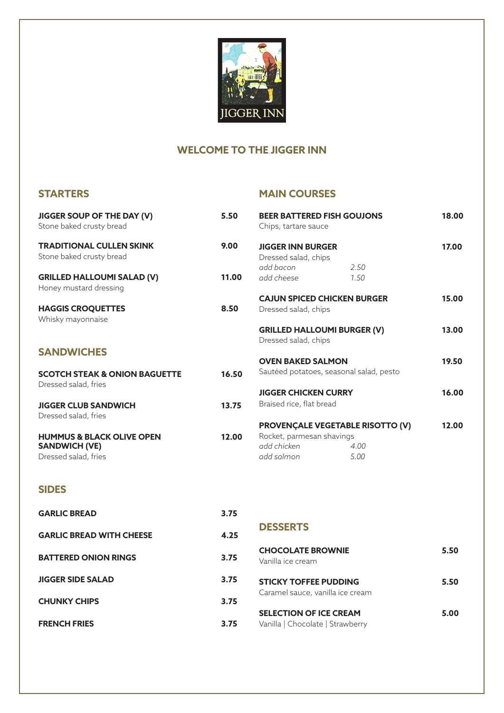

# **WELCOME TO THE JIGGER INN**

# **STARTERS**

### **MAIN COURSES**

| <b>JIGGER SOUP OF THE DAY (V)</b><br>Stone baked crusty bread                        | 5.50  | <b>BEER BATTERED FISH GOUJONS</b><br>Chips, tartare sauce                                         |              | 18.00 |
|--------------------------------------------------------------------------------------|-------|---------------------------------------------------------------------------------------------------|--------------|-------|
| <b>TRADITIONAL CULLEN SKINK</b><br>Stone baked crusty bread                          | 9.00  | <b>JIGGER INN BURGER</b><br>Dressed salad, chips                                                  |              | 17.00 |
| <b>GRILLED HALLOUMI SALAD (V)</b><br>Honey mustard dressing                          | 11.00 | add bacon<br>add cheese                                                                           | 2.50<br>1.50 |       |
| <b>HAGGIS CROQUETTES</b><br>Whisky mayonnaise                                        | 8.50  | <b>CAJUN SPICED CHICKEN BURGER</b><br>Dressed salad, chips                                        |              | 15.00 |
|                                                                                      |       | <b>GRILLED HALLOUMI BURGER (V)</b><br>Dressed salad, chips                                        |              | 13.00 |
| <b>SANDWICHES</b>                                                                    |       | <b>OVEN BAKED SALMON</b>                                                                          |              | 19.50 |
| <b>SCOTCH STEAK &amp; ONION BAGUETTE</b><br>Dressed salad, fries                     | 16.50 | Sautéed potatoes, seasonal salad, pesto                                                           |              |       |
|                                                                                      |       | <b>JIGGER CHICKEN CURRY</b>                                                                       |              | 16.00 |
| <b>JIGGER CLUB SANDWICH</b><br>Dressed salad, fries                                  | 13.75 | Braised rice, flat bread                                                                          |              |       |
| <b>HUMMUS &amp; BLACK OLIVE OPEN</b><br><b>SANDWICH (VE)</b><br>Dressed salad, fries | 12.00 | <b>PROVENÇALE VEGETABLE RISOTTO (V)</b><br>Rocket, parmesan shavings<br>add chicken<br>add salmon | 4.00<br>5.00 | 12.00 |

# **SIDES**

| <b>GARLIC BREAD</b>             | 3.75 |                                                                   |      |  |
|---------------------------------|------|-------------------------------------------------------------------|------|--|
| <b>GARLIC BREAD WITH CHEESE</b> | 4.25 | <b>DESSERTS</b>                                                   |      |  |
| <b>BATTERED ONION RINGS</b>     | 3.75 | <b>CHOCOLATE BROWNIE</b><br>Vanilla ice cream                     | 5.50 |  |
| <b>JIGGER SIDE SALAD</b>        | 3.75 | <b>STICKY TOFFEE PUDDING</b>                                      | 5.50 |  |
| <b>CHUNKY CHIPS</b>             | 3.75 | Caramel sauce, vanilla ice cream                                  |      |  |
| <b>FRENCH FRIES</b>             | 3.75 | <b>SELECTION OF ICE CREAM</b><br>Vanilla   Chocolate   Strawberry | 5.00 |  |